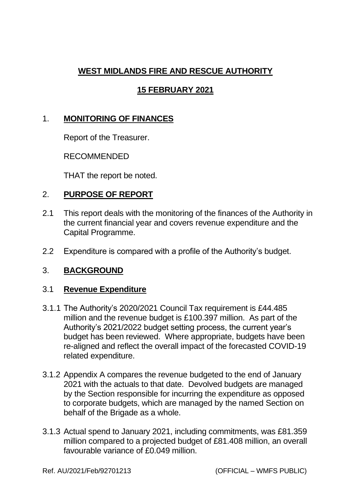# **WEST MIDLANDS FIRE AND RESCUE AUTHORITY**

# **15 FEBRUARY 2021**

# 1. **MONITORING OF FINANCES**

Report of the Treasurer.

RECOMMENDED

THAT the report be noted.

#### 2. **PURPOSE OF REPORT**

- 2.1 This report deals with the monitoring of the finances of the Authority in the current financial year and covers revenue expenditure and the Capital Programme.
- 2.2 Expenditure is compared with a profile of the Authority's budget.

## 3. **BACKGROUND**

#### 3.1 **Revenue Expenditure**

- 3.1.1 The Authority's 2020/2021 Council Tax requirement is £44.485 million and the revenue budget is £100.397 million. As part of the Authority's 2021/2022 budget setting process, the current year's budget has been reviewed. Where appropriate, budgets have been re-aligned and reflect the overall impact of the forecasted COVID-19 related expenditure.
- 3.1.2 Appendix A compares the revenue budgeted to the end of January 2021 with the actuals to that date. Devolved budgets are managed by the Section responsible for incurring the expenditure as opposed to corporate budgets, which are managed by the named Section on behalf of the Brigade as a whole.
- 3.1.3 Actual spend to January 2021, including commitments, was £81.359 million compared to a projected budget of £81.408 million, an overall favourable variance of £0.049 million.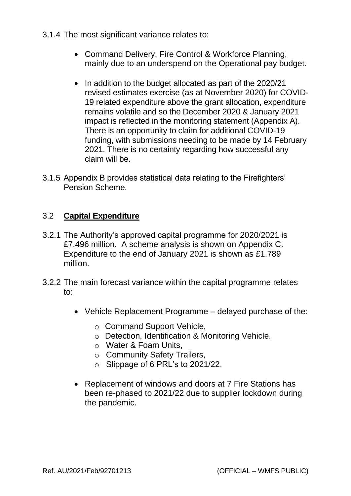- 3.1.4 The most significant variance relates to:
	- Command Delivery, Fire Control & Workforce Planning, mainly due to an underspend on the Operational pay budget.
	- In addition to the budget allocated as part of the 2020/21 revised estimates exercise (as at November 2020) for COVID-19 related expenditure above the grant allocation, expenditure remains volatile and so the December 2020 & January 2021 impact is reflected in the monitoring statement (Appendix A). There is an opportunity to claim for additional COVID-19 funding, with submissions needing to be made by 14 February 2021. There is no certainty regarding how successful any claim will be.
- 3.1.5 Appendix B provides statistical data relating to the Firefighters' Pension Scheme.

# 3.2 **Capital Expenditure**

- 3.2.1 The Authority's approved capital programme for 2020/2021 is £7.496 million. A scheme analysis is shown on Appendix C. Expenditure to the end of January 2021 is shown as £1.789 million.
- 3.2.2 The main forecast variance within the capital programme relates to:
	- Vehicle Replacement Programme delayed purchase of the:
		- o Command Support Vehicle,
		- o Detection, Identification & Monitoring Vehicle,
		- o Water & Foam Units,
		- o Community Safety Trailers,
		- o Slippage of 6 PRL's to 2021/22.
	- Replacement of windows and doors at 7 Fire Stations has been re-phased to 2021/22 due to supplier lockdown during the pandemic.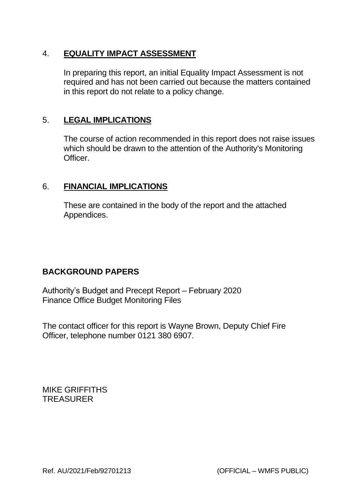# 4. **EQUALITY IMPACT ASSESSMENT**

In preparing this report, an initial Equality Impact Assessment is not required and has not been carried out because the matters contained in this report do not relate to a policy change.

## 5. **LEGAL IMPLICATIONS**

The course of action recommended in this report does not raise issues which should be drawn to the attention of the Authority's Monitoring Officer.

## 6. **FINANCIAL IMPLICATIONS**

These are contained in the body of the report and the attached Appendices.

## **BACKGROUND PAPERS**

Authority's Budget and Precept Report – February 2020 Finance Office Budget Monitoring Files

The contact officer for this report is Wayne Brown, Deputy Chief Fire Officer, telephone number 0121 380 6907.

MIKE GRIFFITHS TREASURER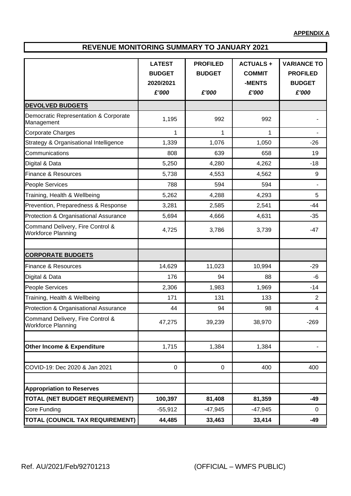**APPENDIX A**

#### **REVENUE MONITORING SUMMARY TO JANUARY 2021**

|                                                               | <b>LATEST</b> | <b>PROFILED</b> | <b>ACTUALS+</b> | <b>VARIANCE TO</b> |  |
|---------------------------------------------------------------|---------------|-----------------|-----------------|--------------------|--|
|                                                               | <b>BUDGET</b> | <b>BUDGET</b>   | <b>COMMIT</b>   | <b>PROFILED</b>    |  |
|                                                               | 2020/2021     |                 | -MENTS          | <b>BUDGET</b>      |  |
|                                                               | £'000         | £'000           | £'000           | £'000              |  |
| <b>DEVOLVED BUDGETS</b>                                       |               |                 |                 |                    |  |
| Democratic Representation & Corporate<br>Management           | 1,195         | 992             | 992             |                    |  |
| Corporate Charges                                             | 1             | 1               | 1               |                    |  |
| Strategy & Organisational Intelligence                        | 1,339         | 1,076           | 1,050           | $-26$              |  |
| Communications                                                | 808           | 639             | 658             | 19                 |  |
| Digital & Data                                                | 5,250         | 4,280           | 4,262           | $-18$              |  |
| Finance & Resources                                           | 5,738         | 4,553           | 4,562           | 9                  |  |
| People Services                                               | 788           | 594             | 594             | ٠                  |  |
| Training, Health & Wellbeing                                  | 5,262         | 4,288           | 4,293           | 5                  |  |
| Prevention, Preparedness & Response                           | 3,281         | 2,585           | 2,541           | $-44$              |  |
| Protection & Organisational Assurance                         | 5,694         | 4,666           | 4,631           | $-35$              |  |
| Command Delivery, Fire Control &<br><b>Workforce Planning</b> | 4,725         | 3,786           | 3,739           | $-47$              |  |
|                                                               |               |                 |                 |                    |  |
| <b>CORPORATE BUDGETS</b>                                      |               |                 |                 |                    |  |
| <b>Finance &amp; Resources</b>                                | 14,629        | 11,023          | 10,994          | $-29$              |  |
| Digital & Data                                                | 176           | 94              | 88              | -6                 |  |
| People Services                                               | 2,306         | 1,983           | 1,969           | $-14$              |  |
| Training, Health & Wellbeing                                  | 171           | 131             | 133             | $\overline{2}$     |  |
| Protection & Organisational Assurance                         | 44            | 94              | 98              | 4                  |  |
| Command Delivery, Fire Control &<br><b>Workforce Planning</b> | 47,275        | 39,239          | 38,970          | $-269$             |  |
|                                                               |               |                 |                 |                    |  |
| Other Income & Expenditure                                    | 1,715         | 1,384           | 1,384           |                    |  |
|                                                               |               |                 |                 |                    |  |
| COVID-19: Dec 2020 & Jan 2021                                 | $\mathbf 0$   | $\mathbf 0$     | 400             | 400                |  |
| <b>Appropriation to Reserves</b>                              |               |                 |                 |                    |  |
| <b>TOTAL (NET BUDGET REQUIREMENT)</b>                         | 100,397       | 81,408          | 81,359          | $-49$              |  |
| Core Funding                                                  | $-55,912$     | $-47,945$       | $-47,945$       | 0                  |  |
| TOTAL (COUNCIL TAX REQUIREMENT)                               | 44,485        | 33,463          | 33,414          | $-49$              |  |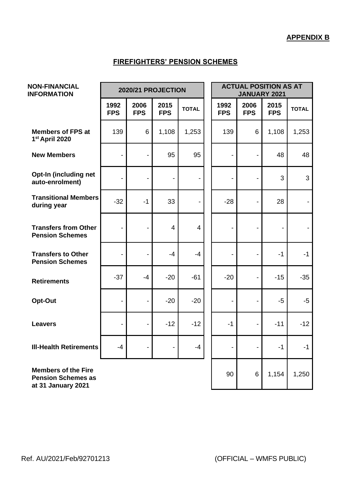#### **FIREFIGHTERS' PENSION SCHEMES**

| <b>NON-FINANCIAL</b><br><b>INFORMATION</b>                                    | 2020/21 PROJECTION           |                    |                    |                | <b>ACTUAL POSITION AS AT</b><br><b>JANUARY 2021</b> |                          |                          |              |
|-------------------------------------------------------------------------------|------------------------------|--------------------|--------------------|----------------|-----------------------------------------------------|--------------------------|--------------------------|--------------|
|                                                                               | 1992<br><b>FPS</b>           | 2006<br><b>FPS</b> | 2015<br><b>FPS</b> | <b>TOTAL</b>   | 1992<br><b>FPS</b>                                  | 2006<br><b>FPS</b>       | 2015<br><b>FPS</b>       | <b>TOTAL</b> |
| <b>Members of FPS at</b><br>1st April 2020                                    | 139                          | 6                  | 1,108              | 1,253          | 139                                                 | 6                        | 1,108                    | 1,253        |
| <b>New Members</b>                                                            | $\overline{\phantom{0}}$     | $\overline{a}$     | 95                 | 95             |                                                     | $\blacksquare$           | 48                       | 48           |
| Opt-In (including net<br>auto-enrolment)                                      | $\overline{\phantom{0}}$     | $\overline{a}$     | $\blacksquare$     |                | $\overline{a}$                                      | $\blacksquare$           | 3                        | 3            |
| <b>Transitional Members</b><br>during year                                    | $-32$                        | $-1$               | 33                 |                | $-28$                                               | $\blacksquare$           | 28                       |              |
| <b>Transfers from Other</b><br><b>Pension Schemes</b>                         | $\qquad \qquad \blacksquare$ | $\overline{a}$     | $\overline{4}$     | $\overline{4}$ | $\overline{\phantom{0}}$                            | $\overline{\phantom{a}}$ | $\overline{\phantom{a}}$ |              |
| <b>Transfers to Other</b><br><b>Pension Schemes</b>                           | $\overline{\phantom{0}}$     | $\overline{a}$     | $-4$               | $-4$           |                                                     | $\overline{\phantom{0}}$ | $-1$                     | $-1$         |
| <b>Retirements</b>                                                            | $-37$                        | $-4$               | $-20$              | $-61$          | $-20$                                               | $\overline{a}$           | $-15$                    | $-35$        |
| Opt-Out                                                                       | $\overline{a}$               |                    | $-20$              | $-20$          |                                                     |                          | $-5$                     | $-5$         |
| <b>Leavers</b>                                                                |                              |                    | $-12$              | $-12$          | $-1$                                                | $\blacksquare$           | $-11$                    | $-12$        |
| <b>III-Health Retirements</b>                                                 | -4                           |                    |                    | $-4$           | $\overline{\phantom{0}}$                            |                          | $-1$                     | $-1$         |
| <b>Members of the Fire</b><br><b>Pension Schemes as</b><br>at 31 January 2021 |                              |                    |                    |                | 90                                                  | 6                        | 1,154                    | 1,250        |